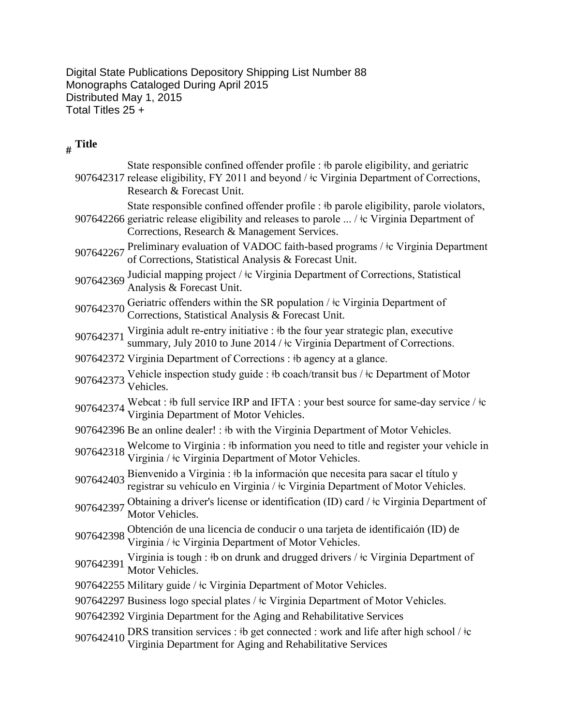Digital State Publications Depository Shipping List Number 88 Monographs Cataloged During April 2015 Distributed May 1, 2015 Total Titles 25 +

## **# Title**

|           | State responsible confined offender profile : #b parole eligibility, and geriatric<br>907642317 release eligibility, FY 2011 and beyond / $\pm c$ Virginia Department of Corrections,<br>Research & Forecast Unit.                    |
|-----------|---------------------------------------------------------------------------------------------------------------------------------------------------------------------------------------------------------------------------------------|
|           | State responsible confined offender profile : #b parole eligibility, parole violators,<br>907642266 geriatric release eligibility and releases to parole  / ‡c Virginia Department of<br>Corrections, Research & Management Services. |
|           | 907642267 Preliminary evaluation of VADOC faith-based programs / ‡c Virginia Department<br>of Corrections, Statistical Analysis & Forecast Unit.                                                                                      |
| 907642369 | Judicial mapping project / $\pm c$ Virginia Department of Corrections, Statistical<br>Analysis & Forecast Unit.                                                                                                                       |
| 907642370 | Geriatric offenders within the SR population / $\pm c$ Virginia Department of<br>Corrections, Statistical Analysis & Forecast Unit.                                                                                                   |
| 907642371 | Virginia adult re-entry initiative : #b the four year strategic plan, executive<br>summary, July 2010 to June 2014 / $\pm c$ Virginia Department of Corrections.                                                                      |
|           | 907642372 Virginia Department of Corrections : #b agency at a glance.                                                                                                                                                                 |
| 907642373 | Vehicle inspection study guide : #b coach/transit bus / #c Department of Motor<br>Vehicles.                                                                                                                                           |
|           | 907642374 Webcat : #b full service IRP and IFTA : your best source for same-day service / $\pm c$<br>Virginia Department of Motor Vehicles.                                                                                           |
|           | 907642396 Be an online dealer! : #b with the Virginia Department of Motor Vehicles.                                                                                                                                                   |
|           | 907642318 Welcome to Virginia : #b information you need to title and register your vehicle in Virginia / $\pm c$ Virginia Department of Motor Vehicles.                                                                               |
|           | 907642403 Bienvenido a Virginia : #b la información que necesita para sacar el título y<br>registrar su vehículo en Virginia / ‡c Virginia Department of Motor Vehicles.                                                              |
| 907642397 | Obtaining a driver's license or identification (ID) card / $\pm$ Virginia Department of<br>Motor Vehicles.                                                                                                                            |
| 907642398 | Obtención de una licencia de conducir o una tarjeta de identificaión (ID) de<br>Virginia / ‡c Virginia Department of Motor Vehicles.                                                                                                  |
| 907642391 | Virginia is tough : #b on drunk and drugged drivers / #c Virginia Department of<br>Motor Vehicles.                                                                                                                                    |
|           | 907642255 Military guide / ‡c Virginia Department of Motor Vehicles.                                                                                                                                                                  |
|           | 907642297 Business logo special plates / $\pm c$ Virginia Department of Motor Vehicles.                                                                                                                                               |
|           | 907642392 Virginia Department for the Aging and Rehabilitative Services                                                                                                                                                               |
| 907642410 | DRS transition services : #b get connected : work and life after high school / #c Virginia Department for Aging and Rehabilitative Services                                                                                           |